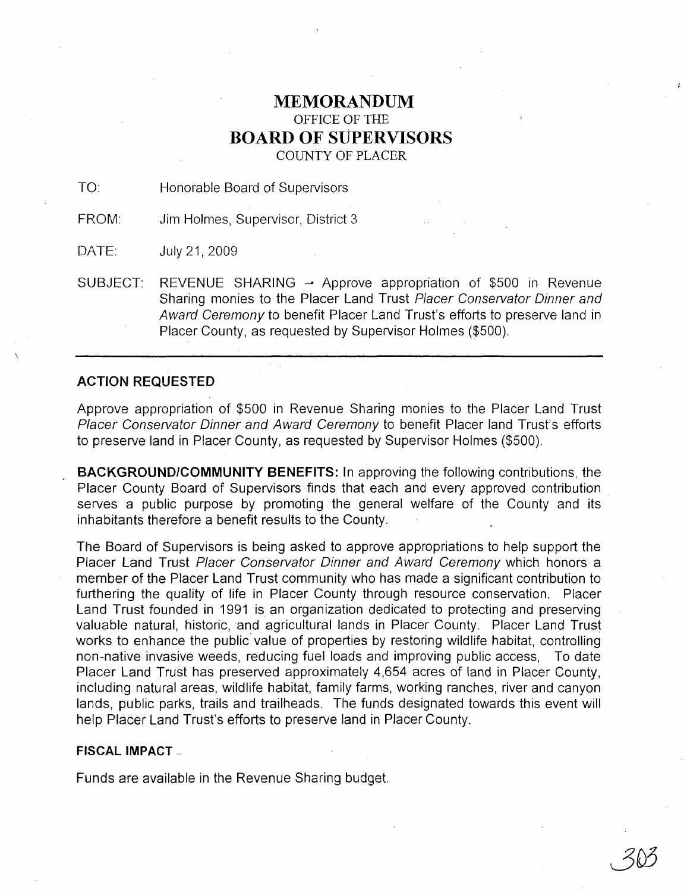# **MEMORANDUM** OFFICE OF THE **BOARD OF SUPERVISORS** COUNTY OF PLACER

TO: Honorable Board of Supervisors

FROM: Jim Holmes, Supervisor, District 3

DATE: July 21,2009

SUBJECT: REVENUE SHARING  $\rightarrow$  Approve appropriation of \$500 in Revenue Sharing monies to the Placer Land Trust Placer Conservator Dinner and Award Ceremony to benefit Placer Land Trust's efforts to preserve land in Placer County, as requested by Supervisor Holmes (\$500).

## **ACTION REQUESTED**

 $\overline{\phantom{a}}$ 

Approve appropriation of \$500 in Revenue Sharing monies to the Placer Land Trust Placer Conservator Dinner and Award Ceremony to benefit Placer land Trust's efforts to preserve land in Placer County, as requested by Supervisor Holmes (\$500).

**BACKGROUNDICOMMUNITY BENEFITS: In** approving the following contributions, the Placer County Board of Supervisors finds that each and every approved contribution serves a public purpose by promoting the general welfare of the County and its inhabitants therefore a benefit results to the County.

The Board of Supervisors is being asked to approve appropriations to help support the Placer Land Trust Placer Conservator Dinner and Award Ceremony which honors a member of the Placer Land Trust community who has made a significant contribution to furthering the quality of life in Placer County through resource conservation. Placer Land Trust founded in 1991 is an organization dedicated to protecting and preserving valuable natural, historic, and agricultural lands in Placer County. Placer Land Trust works to enhance the public value of properties by restoring wildlife habitat, controlling non-native invasive weeds, reducing fuel loads and improving public access, To date Placer Land Trust has preserved approximately 4,654 acres of land in Placer County, including natural areas, wildlife habitat, family farms, working ranches, river and canyon lands, public parks, trails and trailheads. The funds designated towards this event will help Placer Land Trust's efforts to preserve land in Placer County.

### **FISCAL IMPACT -.**

Funds are available in the Revenue Sharing budget.